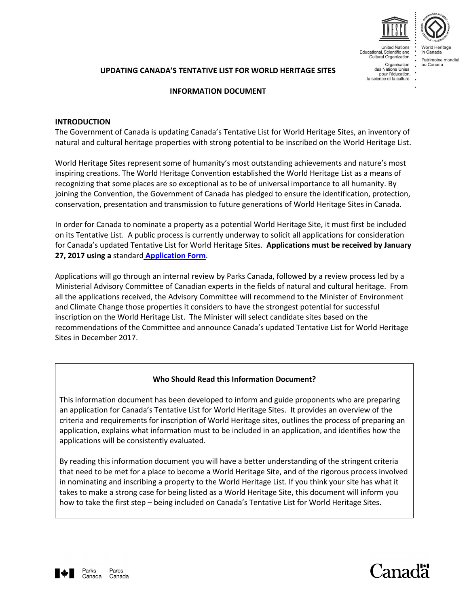

**United Nations** Educational, Scientific and<br>Cultural Organization

> Organisation des Nations Unies pour l'éducation,<br>la science et la culture

Patrimoine mondial

**UPDATING CANADA'S TENTATIVE LIST FOR WORLD HERITAGE SITES** 

### **INFORMATION DOCUMENT**

### **INTRODUCTION**

The Government of Canada is updating Canada's Tentative List for World Heritage Sites, an inventory of natural and cultural heritage properties with strong potential to be inscribed on the World Heritage List.

World Heritage Sites represent some of humanity's most outstanding achievements and nature's most inspiring creations. The World Heritage Convention established the World Heritage List as a means of recognizing that some places are so exceptional as to be of universal importance to all humanity. By joining the Convention, the Government of Canada has pledged to ensure the identification, protection, conservation, presentation and transmission to future generations of World Heritage Sites in Canada.

In order for Canada to nominate a property as a potential World Heritage Site, it must first be included on its Tentative List. A public process is currently underway to solicit all applications for consideration for Canada's updated Tentative List for World Heritage Sites. **Applications must be received by January 27, 2017 using a** standard **[Application Form](http://www.pc.gc.ca/eng/progs/spm-whs/sec06/a.aspx)**.

Applications will go through an internal review by Parks Canada, followed by a review process led by a Ministerial Advisory Committee of Canadian experts in the fields of natural and cultural heritage. From all the applications received, the Advisory Committee will recommend to the Minister of Environment and Climate Change those properties it considers to have the strongest potential for successful inscription on the World Heritage List. The Minister will select candidate sites based on the recommendations of the Committee and announce Canada's updated Tentative List for World Heritage Sites in December 2017.

## **Who Should Read this Information Document?**

This information document has been developed to inform and guide proponents who are preparing an application for Canada's Tentative List for World Heritage Sites. It provides an overview of the criteria and requirements for inscription of World Heritage sites, outlines the process of preparing an application, explains what information must to be included in an application, and identifies how the applications will be consistently evaluated.

By reading this information document you will have a better understanding of the stringent criteria that need to be met for a place to become a World Heritage Site, and of the rigorous process involved in nominating and inscribing a property to the World Heritage List. If you think your site has what it takes to make a strong case for being listed as a World Heritage Site, this document will inform you how to take the first step – being included on Canada's Tentative List for World Heritage Sites.



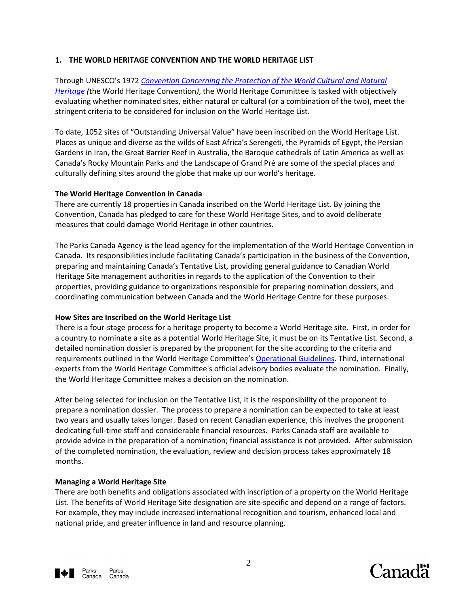## **1. THE WORLD HERITAGE CONVENTION AND THE WORLD HERITAGE LIST**

Through UNESCO's 1972 *[Convention Concerning the Protection of the World Cultural and Natural](http://whc.unesco.org/en/conventiontext/)  [Heritage](http://whc.unesco.org/en/conventiontext/) (*the World Heritage Convention*)*, the World Heritage Committee is tasked with objectively evaluating whether nominated sites, either natural or cultural (or a combination of the two), meet the stringent criteria to be considered for inclusion on the World Heritage List.

To date, 1052 sites of "Outstanding Universal Value" have been inscribed on the World Heritage List. Places as unique and diverse as the wilds of East Africa's Serengeti, the Pyramids of Egypt, the Persian Gardens in Iran, the Great Barrier Reef in Australia, the Baroque cathedrals of Latin America as well as Canada's Rocky Mountain Parks and the Landscape of Grand Pré are some of the special places and culturally defining sites around the globe that make up our world's heritage.

### **The World Heritage Convention in Canada**

There are currently 18 properties in Canada inscribed on the World Heritage List. By joining the Convention, Canada has pledged to care for these World Heritage Sites, and to avoid deliberate measures that could damage World Heritage in other countries.

The Parks Canada Agency is the lead agency for the implementation of the World Heritage Convention in Canada. Its responsibilities include facilitating Canada's participation in the business of the Convention, preparing and maintaining Canada's Tentative List, providing general guidance to Canadian World Heritage Site management authorities in regards to the application of the Convention to their properties, providing guidance to organizations responsible for preparing nomination dossiers, and coordinating communication between Canada and the World Heritage Centre for these purposes.

### **How Sites are Inscribed on the World Heritage List**

There is a four-stage process for a heritage property to become a World Heritage site. First, in order for a country to nominate a site as a potential World Heritage Site, it must be on its Tentative List. Second, a detailed nomination dossier is prepared by the proponent for the site according to the criteria and requirements outlined in the World Heritage Committee's [Operational Guidelines.](http://whc.unesco.org/en/guidelines/) Third, international experts from the World Heritage Committee's official advisory bodies evaluate the nomination. Finally, the World Heritage Committee makes a decision on the nomination.

After being selected for inclusion on the Tentative List, it is the responsibility of the proponent to prepare a nomination dossier. The process to prepare a nomination can be expected to take at least two years and usually takes longer. Based on recent Canadian experience, this involves the proponent dedicating full-time staff and considerable financial resources. Parks Canada staff are available to provide advice in the preparation of a nomination; financial assistance is not provided. After submission of the completed nomination, the evaluation, review and decision process takes approximately 18 months.

### **Managing a World Heritage Site**

There are both benefits and obligations associated with inscription of a property on the World Heritage List. The benefits of World Heritage Site designation are site-specific and depend on a range of factors. For example, they may include increased international recognition and tourism, enhanced local and national pride, and greater influence in land and resource planning.

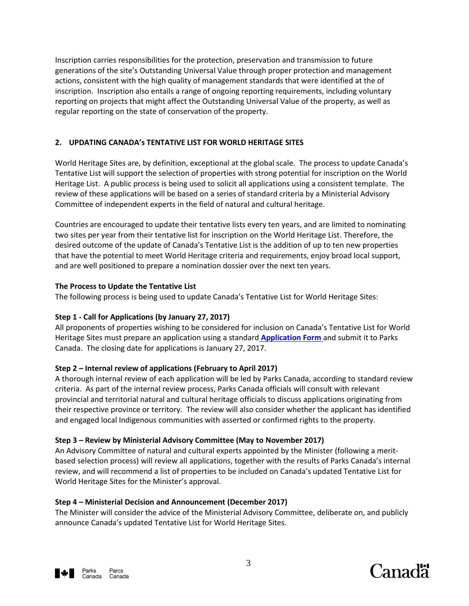Inscription carries responsibilities for the protection, preservation and transmission to future generations of the site's Outstanding Universal Value through proper protection and management actions, consistent with the high quality of management standards that were identified at the of inscription. Inscription also entails a range of ongoing reporting requirements, including voluntary reporting on projects that might affect the Outstanding Universal Value of the property, as well as regular reporting on the state of conservation of the property.

# **2. UPDATING CANADA's TENTATIVE LIST FOR WORLD HERITAGE SITES**

World Heritage Sites are, by definition, exceptional at the global scale. The process to update Canada's Tentative List will support the selection of properties with strong potential for inscription on the World Heritage List. A public process is being used to solicit all applications using a consistent template. The review of these applications will be based on a series of standard criteria by a Ministerial Advisory Committee of independent experts in the field of natural and cultural heritage.

Countries are encouraged to update their tentative lists every ten years, and are limited to nominating two sites per year from their tentative list for inscription on the World Heritage List. Therefore, the desired outcome of the update of Canada's Tentative List is the addition of up to ten new properties that have the potential to meet World Heritage criteria and requirements, enjoy broad local support, and are well positioned to prepare a nomination dossier over the next ten years.

## **The Process to Update the Tentative List**

The following process is being used to update Canada's Tentative List for World Heritage Sites:

# **Step 1 - Call for Applications (by January 27, 2017)**

All proponents of properties wishing to be considered for inclusion on Canada's Tentative List for World Heritage Sites must prepare an application using a standard **[Application Form](http://www.pc.gc.ca/eng/progs/spm-whs/sec06/a.aspx)** and submit it to Parks Canada. The closing date for applications is January 27, 2017.

# **Step 2 – Internal review of applications (February to April 2017)**

A thorough internal review of each application will be led by Parks Canada, according to standard review criteria. As part of the internal review process, Parks Canada officials will consult with relevant provincial and territorial natural and cultural heritage officials to discuss applications originating from their respective province or territory. The review will also consider whether the applicant has identified and engaged local Indigenous communities with asserted or confirmed rights to the property.

## **Step 3 – Review by Ministerial Advisory Committee (May to November 2017)**

An Advisory Committee of natural and cultural experts appointed by the Minister (following a meritbased selection process) will review all applications, together with the results of Parks Canada's internal review, and will recommend a list of properties to be included on Canada's updated Tentative List for World Heritage Sites for the Minister's approval.

# **Step 4 – Ministerial Decision and Announcement (December 2017)**

The Minister will consider the advice of the Ministerial Advisory Committee, deliberate on, and publicly announce Canada's updated Tentative List for World Heritage Sites.



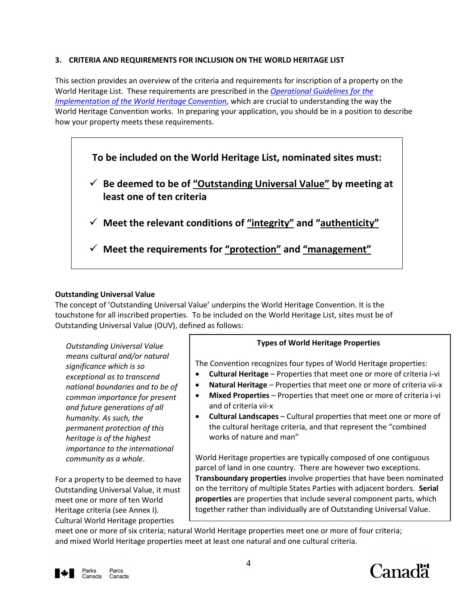## **3. CRITERIA AND REQUIREMENTS FOR INCLUSION ON THE WORLD HERITAGE LIST**

This section provides an overview of the criteria and requirements for inscription of a property on the World Heritage List. These requirements are prescribed in the *[Operational Guidelines for the](http://whc.unesco.org/en/guidelines/)  [Implementation of the World Heritage Convention](http://whc.unesco.org/en/guidelines/)*, which are crucial to understanding the way the World Heritage Convention works. In preparing your application, you should be in a position to describe how your property meets these requirements.



## **Outstanding Universal Value**

The concept of 'Outstanding Universal Value' underpins the World Heritage Convention. It is the touchstone for all inscribed properties. To be included on the World Heritage List, sites must be of Outstanding Universal Value (OUV), defined as follows:

*Outstanding Universal Value means cultural and/or natural significance which is so exceptional as to transcend national boundaries and to be of common importance for present and future generations of all humanity. As such, the permanent protection of this heritage is of the highest importance to the international community as a whole*.

For a property to be deemed to have Outstanding Universal Value, it must meet one or more of ten World Heritage criteria (see Annex I)*.*  Cultural World Heritage properties

## **Types of World Heritage Properties**

The Convention recognizes four types of World Heritage properties:

- **Cultural Heritage** Properties that meet one or more of criteria i-vi
- **Natural Heritage** Properties that meet one or more of criteria vii-x
- **Mixed Properties** Properties that meet one or more of criteria i-vi and of criteria vii-x
- **Cultural Landscapes** Cultural properties that meet one or more of the cultural heritage criteria, and that represent the "combined works of nature and man"

World Heritage properties are typically composed of one contiguous parcel of land in one country. There are however two exceptions. **Transboundary properties** involve properties that have been nominated on the territory of multiple States Parties with adjacent borders. **Serial properties** are properties that include several component parts, which together rather than individually are of Outstanding Universal Value.

meet one or more of six criteria; natural World Heritage properties meet one or more of four criteria; and mixed World Heritage properties meet at least one natural and one cultural criteria.



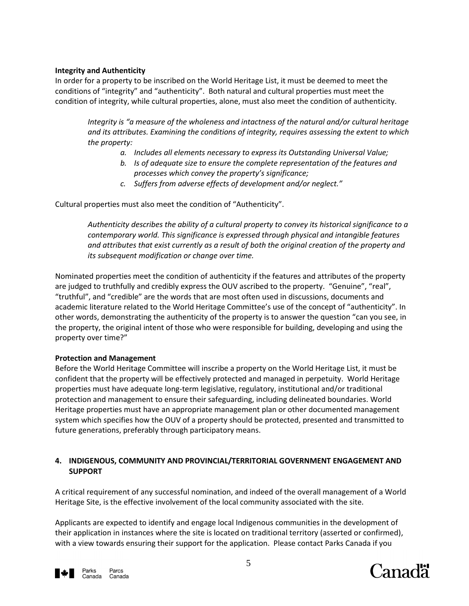## **Integrity and Authenticity**

In order for a property to be inscribed on the World Heritage List, it must be deemed to meet the conditions of "integrity" and "authenticity". Both natural and cultural properties must meet the condition of integrity, while cultural properties, alone, must also meet the condition of authenticity.

*Integrity is "a measure of the wholeness and intactness of the natural and/or cultural heritage and its attributes. Examining the conditions of integrity, requires assessing the extent to which the property:*

- *a. Includes all elements necessary to express its Outstanding Universal Value;*
- *b. Is of adequate size to ensure the complete representation of the features and processes which convey the property's significance;*
- *c. Suffers from adverse effects of development and/or neglect."*

Cultural properties must also meet the condition of "Authenticity".

*Authenticity describes the ability of a cultural property to convey its historical significance to a contemporary world. This significance is expressed through physical and intangible features and attributes that exist currently as a result of both the original creation of the property and its subsequent modification or change over time.* 

Nominated properties meet the condition of authenticity if the features and attributes of the property are judged to truthfully and credibly express the OUV ascribed to the property. "Genuine", "real", "truthful", and "credible" are the words that are most often used in discussions, documents and academic literature related to the World Heritage Committee's use of the concept of "authenticity". In other words, demonstrating the authenticity of the property is to answer the question "can you see, in the property, the original intent of those who were responsible for building, developing and using the property over time?"

## **Protection and Management**

Before the World Heritage Committee will inscribe a property on the World Heritage List, it must be confident that the property will be effectively protected and managed in perpetuity. World Heritage properties must have adequate long-term legislative, regulatory, institutional and/or traditional protection and management to ensure their safeguarding, including delineated boundaries. World Heritage properties must have an appropriate management plan or other documented management system which specifies how the OUV of a property should be protected, presented and transmitted to future generations, preferably through participatory means.

## **4. INDIGENOUS, COMMUNITY AND PROVINCIAL/TERRITORIAL GOVERNMENT ENGAGEMENT AND SUPPORT**

A critical requirement of any successful nomination, and indeed of the overall management of a World Heritage Site, is the effective involvement of the local community associated with the site.

Applicants are expected to identify and engage local Indigenous communities in the development of their application in instances where the site is located on traditional territory (asserted or confirmed), with a view towards ensuring their support for the application. Please contact Parks Canada if you



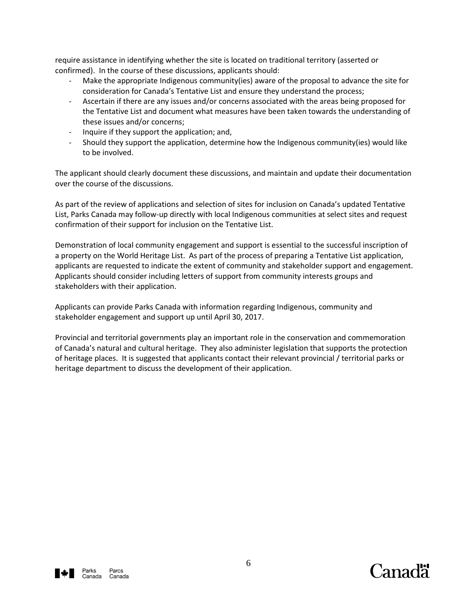require assistance in identifying whether the site is located on traditional territory (asserted or confirmed). In the course of these discussions, applicants should:

- Make the appropriate Indigenous community(ies) aware of the proposal to advance the site for consideration for Canada's Tentative List and ensure they understand the process;
- Ascertain if there are any issues and/or concerns associated with the areas being proposed for the Tentative List and document what measures have been taken towards the understanding of these issues and/or concerns;
- Inquire if they support the application; and,
- Should they support the application, determine how the Indigenous community(ies) would like to be involved.

The applicant should clearly document these discussions, and maintain and update their documentation over the course of the discussions.

As part of the review of applications and selection of sites for inclusion on Canada's updated Tentative List, Parks Canada may follow-up directly with local Indigenous communities at select sites and request confirmation of their support for inclusion on the Tentative List.

Demonstration of local community engagement and support is essential to the successful inscription of a property on the World Heritage List. As part of the process of preparing a Tentative List application, applicants are requested to indicate the extent of community and stakeholder support and engagement. Applicants should consider including letters of support from community interests groups and stakeholders with their application.

Applicants can provide Parks Canada with information regarding Indigenous, community and stakeholder engagement and support up until April 30, 2017.

Provincial and territorial governments play an important role in the conservation and commemoration of Canada's natural and cultural heritage. They also administer legislation that supports the protection of heritage places. It is suggested that applicants contact their relevant provincial / territorial parks or heritage department to discuss the development of their application.



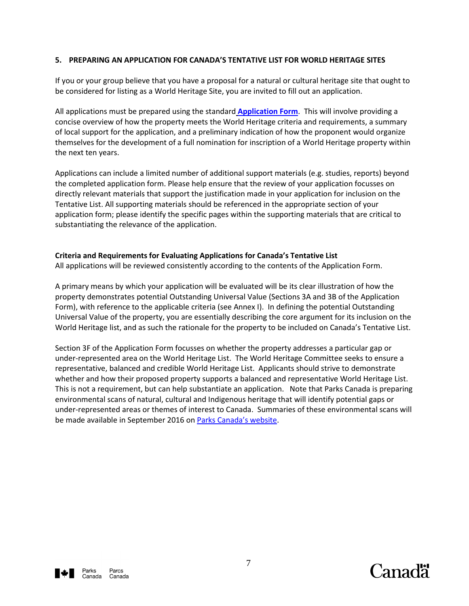### **5. PREPARING AN APPLICATION FOR CANADA'S TENTATIVE LIST FOR WORLD HERITAGE SITES**

If you or your group believe that you have a proposal for a natural or cultural heritage site that ought to be considered for listing as a World Heritage Site, you are invited to fill out an application.

All applications must be prepared using the standard **[Application Form](http://www.pc.gc.ca/eng/progs/spm-whs/sec06/a.aspx)**. This will involve providing a concise overview of how the property meets the World Heritage criteria and requirements, a summary of local support for the application, and a preliminary indication of how the proponent would organize themselves for the development of a full nomination for inscription of a World Heritage property within the next ten years.

Applications can include a limited number of additional support materials (e.g. studies, reports) beyond the completed application form. Please help ensure that the review of your application focusses on directly relevant materials that support the justification made in your application for inclusion on the Tentative List. All supporting materials should be referenced in the appropriate section of your application form; please identify the specific pages within the supporting materials that are critical to substantiating the relevance of the application.

### **Criteria and Requirements for Evaluating Applications for Canada's Tentative List**

All applications will be reviewed consistently according to the contents of the Application Form.

A primary means by which your application will be evaluated will be its clear illustration of how the property demonstrates potential Outstanding Universal Value (Sections 3A and 3B of the Application Form), with reference to the applicable criteria (see Annex I). In defining the potential Outstanding Universal Value of the property, you are essentially describing the core argument for its inclusion on the World Heritage list, and as such the rationale for the property to be included on Canada's Tentative List.

Section 3F of the Application Form focusses on whether the property addresses a particular gap or under-represented area on the World Heritage List. The World Heritage Committee seeks to ensure a representative, balanced and credible World Heritage List. Applicants should strive to demonstrate whether and how their proposed property supports a balanced and representative World Heritage List. This is not a requirement, but can help substantiate an application. Note that Parks Canada is preparing environmental scans of natural, cultural and Indigenous heritage that will identify potential gaps or under-represented areas or themes of interest to Canada. Summaries of these environmental scans will be made available in September 2016 on [Parks Canada's website](http://www.pc.gc.ca/eng/progs/spm-whs/sec06/f.aspx).



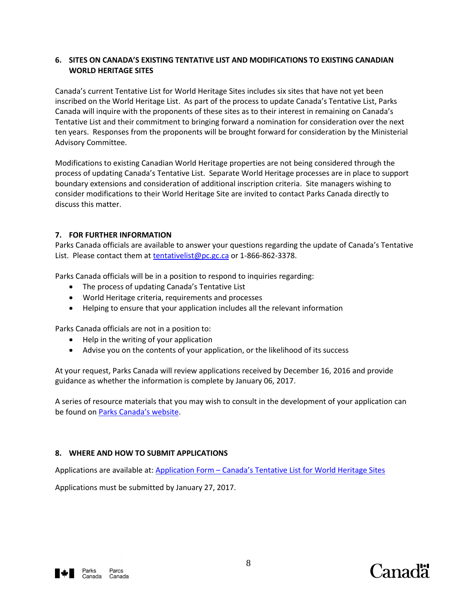## **6. SITES ON CANADA'S EXISTING TENTATIVE LIST AND MODIFICATIONS TO EXISTING CANADIAN WORLD HERITAGE SITES**

Canada's current Tentative List for World Heritage Sites includes six sites that have not yet been inscribed on the World Heritage List. As part of the process to update Canada's Tentative List, Parks Canada will inquire with the proponents of these sites as to their interest in remaining on Canada's Tentative List and their commitment to bringing forward a nomination for consideration over the next ten years. Responses from the proponents will be brought forward for consideration by the Ministerial Advisory Committee.

Modifications to existing Canadian World Heritage properties are not being considered through the process of updating Canada's Tentative List. Separate World Heritage processes are in place to support boundary extensions and consideration of additional inscription criteria. Site managers wishing to consider modifications to their World Heritage Site are invited to contact Parks Canada directly to discuss this matter.

### **7. FOR FURTHER INFORMATION**

Parks Canada officials are available to answer your questions regarding the update of Canada's Tentative List. Please contact them at [tentativelist@pc.gc.ca](mailto:tentativelist@pc.gc.ca) or 1-866-862-3378.

Parks Canada officials will be in a position to respond to inquiries regarding:

- The process of updating Canada's Tentative List
- World Heritage criteria, requirements and processes
- Helping to ensure that your application includes all the relevant information

Parks Canada officials are not in a position to:

- Help in the writing of your application
- Advise you on the contents of your application, or the likelihood of its success

At your request, Parks Canada will review applications received by December 16, 2016 and provide guidance as whether the information is complete by January 06, 2017.

A series of resource materials that you may wish to consult in the development of your application can be found on [Parks Canada](http://www.pc.gc.ca/eng/progs/spm-whs/sec06/f.aspx)'s website.

### **8. WHERE AND HOW TO SUBMIT APPLICATIONS**

Applications are available at: Application Form – [Canada's Tentative List for World Heritage Sites](http://www.pc.gc.ca/eng/progs/spm-whs/sec06/a.aspx)

Applications must be submitted by January 27, 2017.



Canadä